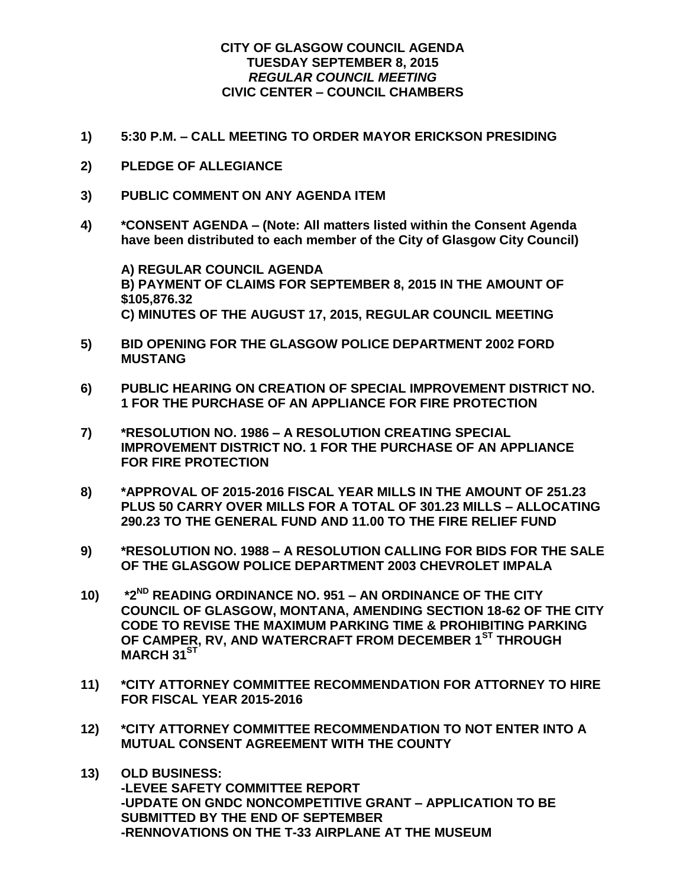## **CITY OF GLASGOW COUNCIL AGENDA TUESDAY SEPTEMBER 8, 2015** *REGULAR COUNCIL MEETING* **CIVIC CENTER – COUNCIL CHAMBERS**

- **1) 5:30 P.M. – CALL MEETING TO ORDER MAYOR ERICKSON PRESIDING**
- **2) PLEDGE OF ALLEGIANCE**
- **3) PUBLIC COMMENT ON ANY AGENDA ITEM**
- **4) \*CONSENT AGENDA – (Note: All matters listed within the Consent Agenda have been distributed to each member of the City of Glasgow City Council)**

**A) REGULAR COUNCIL AGENDA B) PAYMENT OF CLAIMS FOR SEPTEMBER 8, 2015 IN THE AMOUNT OF \$105,876.32 C) MINUTES OF THE AUGUST 17, 2015, REGULAR COUNCIL MEETING**

- **5) BID OPENING FOR THE GLASGOW POLICE DEPARTMENT 2002 FORD MUSTANG**
- **6) PUBLIC HEARING ON CREATION OF SPECIAL IMPROVEMENT DISTRICT NO. 1 FOR THE PURCHASE OF AN APPLIANCE FOR FIRE PROTECTION**
- **7) \*RESOLUTION NO. 1986 – A RESOLUTION CREATING SPECIAL IMPROVEMENT DISTRICT NO. 1 FOR THE PURCHASE OF AN APPLIANCE FOR FIRE PROTECTION**
- **8) \*APPROVAL OF 2015-2016 FISCAL YEAR MILLS IN THE AMOUNT OF 251.23 PLUS 50 CARRY OVER MILLS FOR A TOTAL OF 301.23 MILLS – ALLOCATING 290.23 TO THE GENERAL FUND AND 11.00 TO THE FIRE RELIEF FUND**
- **9) \*RESOLUTION NO. 1988 – A RESOLUTION CALLING FOR BIDS FOR THE SALE OF THE GLASGOW POLICE DEPARTMENT 2003 CHEVROLET IMPALA**
- **10) \*2ND READING ORDINANCE NO. 951 – AN ORDINANCE OF THE CITY COUNCIL OF GLASGOW, MONTANA, AMENDING SECTION 18-62 OF THE CITY CODE TO REVISE THE MAXIMUM PARKING TIME & PROHIBITING PARKING OF CAMPER, RV, AND WATERCRAFT FROM DECEMBER 1ST THROUGH MARCH 31ST**
- **11) \*CITY ATTORNEY COMMITTEE RECOMMENDATION FOR ATTORNEY TO HIRE FOR FISCAL YEAR 2015-2016**
- **12) \*CITY ATTORNEY COMMITTEE RECOMMENDATION TO NOT ENTER INTO A MUTUAL CONSENT AGREEMENT WITH THE COUNTY**
- **13) OLD BUSINESS: -LEVEE SAFETY COMMITTEE REPORT -UPDATE ON GNDC NONCOMPETITIVE GRANT – APPLICATION TO BE SUBMITTED BY THE END OF SEPTEMBER -RENNOVATIONS ON THE T-33 AIRPLANE AT THE MUSEUM**